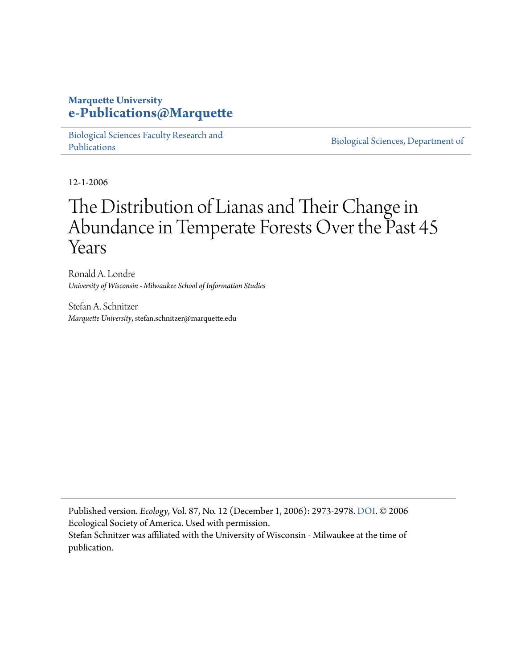## **Marquette University [e-Publications@Marquette](https://epublications.marquette.edu/)**

[Biological Sciences Faculty Research and](https://epublications.marquette.edu/bio_fac) [Publications](https://epublications.marquette.edu/bio_fac)

[Biological Sciences, Department of](https://epublications.marquette.edu/biology)

12-1-2006

# The Distribution of Lianas and Their Change in Abundance in Temperate Forests Over the Past 45 Years

Ronald A. Londre *University of Wisconsin - Milwaukee School of Information Studies*

Stefan A. Schnitzer *Marquette University*, stefan.schnitzer@marquette.edu

Published version. *Ecology*, Vol. 87, No. 12 (December 1, 2006): 2973-2978. DOI. © 2006 Ecological Society of America. Used with permission. Stefan Schnitzer was affiliated with the University of Wisconsin - Milwaukee at the time of publication.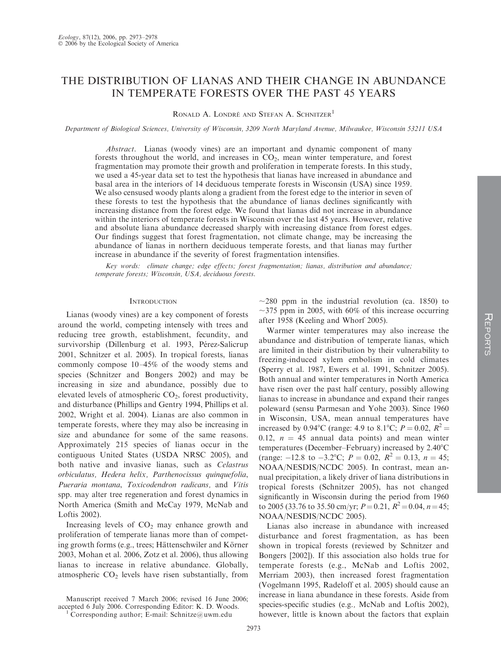### THE DISTRIBUTION OF LIANAS AND THEIR CHANGE IN ABUNDANCE IN TEMPERATE FORESTS OVER THE PAST 45 YEARS

RONALD A. LONDRÉ AND STEFAN A. SCHNITZER<sup>1</sup>

Department of Biological Sciences, University of Wisconsin, 3209 North Maryland Avenue, Milwaukee, Wisconsin 53211 USA

Abstract. Lianas (woody vines) are an important and dynamic component of many forests throughout the world, and increases in  $CO<sub>2</sub>$ , mean winter temperature, and forest fragmentation may promote their growth and proliferation in temperate forests. In this study, we used a 45-year data set to test the hypothesis that lianas have increased in abundance and basal area in the interiors of 14 deciduous temperate forests in Wisconsin (USA) since 1959. We also censused woody plants along a gradient from the forest edge to the interior in seven of these forests to test the hypothesis that the abundance of lianas declines significantly with increasing distance from the forest edge. We found that lianas did not increase in abundance within the interiors of temperate forests in Wisconsin over the last 45 years. However, relative and absolute liana abundance decreased sharply with increasing distance from forest edges. Our findings suggest that forest fragmentation, not climate change, may be increasing the abundance of lianas in northern deciduous temperate forests, and that lianas may further increase in abundance if the severity of forest fragmentation intensifies.

Key words: climate change; edge effects; forest fragmentation; lianas, distribution and abundance; temperate forests; Wisconsin, USA, deciduous forests.

#### **INTRODUCTION**

Lianas (woody vines) are a key component of forests around the world, competing intensely with trees and reducing tree growth, establishment, fecundity, and survivorship (Dillenburg et al. 1993, Pérez-Salicrup 2001, Schnitzer et al. 2005). In tropical forests, lianas commonly compose 10–45% of the woody stems and species (Schnitzer and Bongers 2002) and may be increasing in size and abundance, possibly due to elevated levels of atmospheric CO<sub>2</sub>, forest productivity, and disturbance (Phillips and Gentry 1994, Phillips et al. 2002, Wright et al. 2004). Lianas are also common in temperate forests, where they may also be increasing in size and abundance for some of the same reasons. Approximately 215 species of lianas occur in the contiguous United States (USDA NRSC 2005), and both native and invasive lianas, such as Celastrus orbiculatus, Hedera helix, Parthenocissus quinquefolia, Pueraria montana, Toxicodendron radicans, and Vitis spp. may alter tree regeneration and forest dynamics in North America (Smith and McCay 1979, McNab and Loftis 2002).

Increasing levels of  $CO<sub>2</sub>$  may enhance growth and proliferation of temperate lianas more than of competing growth forms (e.g., trees; Hättenschwiler and Körner 2003, Mohan et al. 2006, Zotz et al. 2006), thus allowing lianas to increase in relative abundance. Globally, atmospheric  $CO<sub>2</sub>$  levels have risen substantially, from

Manuscript received 7 March 2006; revised 16 June 2006; accepted 6 July 2006. Corresponding Editor: K. D. Woods.

<sup>1</sup> Corresponding author; E-mail: Schnitze@uwm.edu

 $\sim$ 280 ppm in the industrial revolution (ca. 1850) to  $\sim$ 375 ppm in 2005, with 60% of this increase occurring after 1958 (Keeling and Whorf 2005).

Warmer winter temperatures may also increase the abundance and distribution of temperate lianas, which are limited in their distribution by their vulnerability to freezing-induced xylem embolism in cold climates (Sperry et al. 1987, Ewers et al. 1991, Schnitzer 2005). Both annual and winter temperatures in North America have risen over the past half century, possibly allowing lianas to increase in abundance and expand their ranges poleward (sensu Parmesan and Yohe 2003). Since 1960 in Wisconsin, USA, mean annual temperatures have increased by 0.94°C (range: 4.9 to 8.1°C;  $P = 0.02$ ,  $R^2 =$ 0.12,  $n = 45$  annual data points) and mean winter temperatures (December–February) increased by 2.40°C (range:  $-12.8$  to  $-3.2$ °C;  $P = 0.02$ ,  $R^2 = 0.13$ ,  $n = 45$ ; NOAA/NESDIS/NCDC 2005). In contrast, mean annual precipitation, a likely driver of liana distributions in tropical forests (Schnitzer 2005), has not changed significantly in Wisconsin during the period from 1960 to 2005 (33.76 to 35.50 cm/yr;  $P = 0.21$ ,  $R^2 = 0.04$ ,  $n = 45$ ; NOAA/NESDIS/NCDC 2005).

Lianas also increase in abundance with increased disturbance and forest fragmentation, as has been shown in tropical forests (reviewed by Schnitzer and Bongers [2002]). If this association also holds true for temperate forests (e.g., McNab and Loftis 2002, Merriam 2003), then increased forest fragmentation (Vogelmann 1995, Radeloff et al. 2005) should cause an increase in liana abundance in these forests. Aside from species-specific studies (e.g., McNab and Loftis 2002), however, little is known about the factors that explain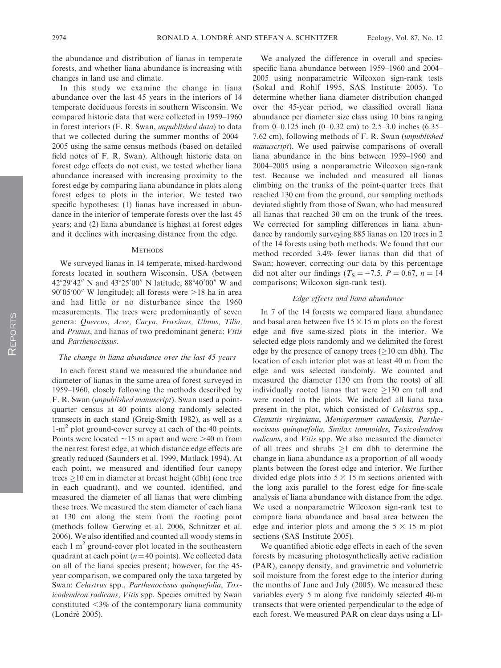the abundance and distribution of lianas in temperate forests, and whether liana abundance is increasing with changes in land use and climate.

In this study we examine the change in liana abundance over the last 45 years in the interiors of 14 temperate deciduous forests in southern Wisconsin. We compared historic data that were collected in 1959–1960 in forest interiors (F. R. Swan, unpublished data) to data that we collected during the summer months of 2004– 2005 using the same census methods (based on detailed field notes of F. R. Swan). Although historic data on forest edge effects do not exist, we tested whether liana abundance increased with increasing proximity to the forest edge by comparing liana abundance in plots along forest edges to plots in the interior. We tested two specific hypotheses: (1) lianas have increased in abundance in the interior of temperate forests over the last 45 years; and (2) liana abundance is highest at forest edges and it declines with increasing distance from the edge.

#### **METHODS**

We surveyed lianas in 14 temperate, mixed-hardwood forests located in southern Wisconsin, USA (between 42°29′42″ N and 43°25′00″ N latitude, 88°40′00″ W and 90°05′00″ W longitude); all forests were >18 ha in area and had little or no disturbance since the 1960 measurements. The trees were predominantly of seven genera: Quercus, Acer, Carya, Fraxinus, Ulmus, Tilia, and Prunus, and lianas of two predominant genera: Vitis and Parthenocissus.

#### The change in liana abundance over the last 45 years

In each forest stand we measured the abundance and diameter of lianas in the same area of forest surveyed in 1959–1960, closely following the methods described by F. R. Swan (unpublished manuscript). Swan used a pointquarter census at 40 points along randomly selected transects in each stand (Greig-Smith 1982), as well as a 1-m<sup>2</sup> plot ground-cover survey at each of the 40 points. Points were located  $\sim$ 15 m apart and were  $>$ 40 m from the nearest forest edge, at which distance edge effects are greatly reduced (Saunders et al. 1999, Matlack 1994). At each point, we measured and identified four canopy trees  $\geq$ 10 cm in diameter at breast height (dbh) (one tree in each quadrant), and we counted, identified, and measured the diameter of all lianas that were climbing these trees. We measured the stem diameter of each liana at 130 cm along the stem from the rooting point (methods follow Gerwing et al. 2006, Schnitzer et al. 2006). We also identified and counted all woody stems in each  $1 \text{ m}^2$  ground-cover plot located in the southeastern quadrant at each point ( $n=40$  points). We collected data on all of the liana species present; however, for the 45 year comparison, we compared only the taxa targeted by Swan: Celastrus spp., Parthenocissus quinquefolia, Toxicodendron radicans, Vitis spp. Species omitted by Swan constituted  $\leq$ 3% of the contemporary liana community (Londré 2005).

We analyzed the difference in overall and speciesspecific liana abundance between 1959–1960 and 2004– 2005 using nonparametric Wilcoxon sign-rank tests (Sokal and Rohlf 1995, SAS Institute 2005). To determine whether liana diameter distribution changed over the 45-year period, we classified overall liana abundance per diameter size class using 10 bins ranging from  $0-0.125$  inch  $(0-0.32$  cm) to 2.5–3.0 inches  $(6.35-$ 7.62 cm), following methods of F. R. Swan (unpublished manuscript). We used pairwise comparisons of overall liana abundance in the bins between 1959–1960 and 2004–2005 using a nonparametric Wilcoxon sign-rank test. Because we included and measured all lianas climbing on the trunks of the point-quarter trees that reached 130 cm from the ground, our sampling methods deviated slightly from those of Swan, who had measured all lianas that reached 30 cm on the trunk of the trees. We corrected for sampling differences in liana abundance by randomly surveying 885 lianas on 120 trees in 2 of the 14 forests using both methods. We found that our method recorded 3.4% fewer lianas than did that of Swan; however, correcting our data by this percentage did not alter our findings ( $T<sub>S</sub> = -7.5$ ,  $P = 0.67$ ,  $n = 14$ comparisons; Wilcoxon sign-rank test).

#### Edge effects and liana abundance

In 7 of the 14 forests we compared liana abundance and basal area between five  $15 \times 15$  m plots on the forest edge and five same-sized plots in the interior. We selected edge plots randomly and we delimited the forest edge by the presence of canopy trees  $(\geq 10 \text{ cm dbh})$ . The location of each interior plot was at least 40 m from the edge and was selected randomly. We counted and measured the diameter (130 cm from the roots) of all individually rooted lianas that were  $\geq$ 130 cm tall and were rooted in the plots. We included all liana taxa present in the plot, which consisted of Celastrus spp., Clematis virginiana, Menispermum canadensis, Parthenocissus quinquefolia, Smilax tamnoides, Toxicodendron radicans, and Vitis spp. We also measured the diameter of all trees and shrubs  $\geq 1$  cm dbh to determine the change in liana abundance as a proportion of all woody plants between the forest edge and interior. We further divided edge plots into  $5 \times 15$  m sections oriented with the long axis parallel to the forest edge for fine-scale analysis of liana abundance with distance from the edge. We used a nonparametric Wilcoxon sign-rank test to compare liana abundance and basal area between the edge and interior plots and among the  $5 \times 15$  m plot sections (SAS Institute 2005).

We quantified abiotic edge effects in each of the seven forests by measuring photosynthetically active radiation (PAR), canopy density, and gravimetric and volumetric soil moisture from the forest edge to the interior during the months of June and July (2005). We measured these variables every 5 m along five randomly selected 40-m transects that were oriented perpendicular to the edge of each forest. We measured PAR on clear days using a LI-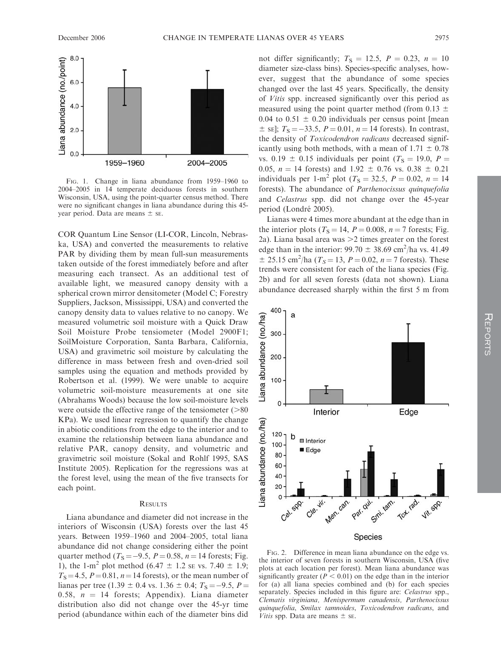

FIG. 1. Change in liana abundance from 1959–1960 to 2004–2005 in 14 temperate deciduous forests in southern Wisconsin, USA, using the point-quarter census method. There were no significant changes in liana abundance during this 45 year period. Data are means  $\pm$  se.

COR Quantum Line Sensor (LI-COR, Lincoln, Nebraska, USA) and converted the measurements to relative PAR by dividing them by mean full-sun measurements taken outside of the forest immediately before and after measuring each transect. As an additional test of available light, we measured canopy density with a spherical crown mirror densitometer (Model C; Forestry Suppliers, Jackson, Mississippi, USA) and converted the canopy density data to values relative to no canopy. We measured volumetric soil moisture with a Quick Draw Soil Moisture Probe tensiometer (Model 2900F1; SoilMoisture Corporation, Santa Barbara, California, USA) and gravimetric soil moisture by calculating the difference in mass between fresh and oven-dried soil samples using the equation and methods provided by Robertson et al. (1999). We were unable to acquire volumetric soil-moisture measurements at one site (Abrahams Woods) because the low soil-moisture levels were outside the effective range of the tensiometer  $(>=80$ KPa). We used linear regression to quantify the change in abiotic conditions from the edge to the interior and to examine the relationship between liana abundance and relative PAR, canopy density, and volumetric and gravimetric soil moisture (Sokal and Rohlf 1995, SAS Institute 2005). Replication for the regressions was at the forest level, using the mean of the five transects for each point.

#### **RESULTS**

Liana abundance and diameter did not increase in the interiors of Wisconsin (USA) forests over the last 45 years. Between 1959–1960 and 2004–2005, total liana abundance did not change considering either the point quarter method ( $T_s = -9.5$ ,  $P = 0.58$ ,  $n = 14$  forests; Fig. 1), the 1-m<sup>2</sup> plot method (6.47  $\pm$  1.2 se vs. 7.40  $\pm$  1.9;  $T_s$  = 4.5,  $P$  = 0.81,  $n$  = 14 forests), or the mean number of lianas per tree (1.39  $\pm$  0.4 vs. 1.36  $\pm$  0.4;  $T_s = -9.5$ ,  $P =$ 0.58,  $n = 14$  forests; Appendix). Liana diameter distribution also did not change over the 45-yr time period (abundance within each of the diameter bins did

not differ significantly;  $T<sub>S</sub> = 12.5, P = 0.23, n = 10$ diameter size-class bins). Species-specific analyses, however, suggest that the abundance of some species changed over the last 45 years. Specifically, the density of Vitis spp. increased significantly over this period as measured using the point quarter method (from 0.13  $\pm$ 0.04 to 0.51  $\pm$  0.20 individuals per census point [mean  $\pm$  sE];  $T_s = -33.5$ ,  $P = 0.01$ ,  $n = 14$  forests). In contrast, the density of Toxicodendron radicans decreased significantly using both methods, with a mean of  $1.71 \pm 0.78$ vs. 0.19  $\pm$  0.15 individuals per point (T<sub>S</sub> = 19.0, P = 0.05,  $n = 14$  forests) and 1.92  $\pm$  0.76 vs. 0.38  $\pm$  0.21 individuals per 1-m<sup>2</sup> plot ( $T_s = 32.5$ ,  $P = 0.02$ ,  $n = 14$ forests). The abundance of Parthenocissus quinquefolia and Celastrus spp. did not change over the 45-year period (Londré 2005).

Lianas were 4 times more abundant at the edge than in the interior plots ( $T_s = 14$ ,  $P = 0.008$ ,  $n = 7$  forests; Fig. 2a). Liana basal area was  $>$ 2 times greater on the forest edge than in the interior:  $99.70 \pm 38.69 \text{ cm}^2/\text{ha}$  vs. 41.49  $\pm$  25.15 cm<sup>2</sup>/ha ( $T_S$  = 13,  $P$  = 0.02,  $n = 7$  forests). These trends were consistent for each of the liana species (Fig. 2b) and for all seven forests (data not shown). Liana abundance decreased sharply within the first 5 m from



FIG. 2. Difference in mean liana abundance on the edge vs. the interior of seven forests in southern Wisconsin, USA (five plots at each location per forest). Mean liana abundance was significantly greater ( $P < 0.01$ ) on the edge than in the interior for (a) all liana species combined and (b) for each species separately. Species included in this figure are: Celastrus spp., Clematis virginiana, Menispermum canadensis, Parthenocissus quinquefolia, Smilax tamnoides, Toxicodendron radicans, and *Vitis* spp. Data are means  $\pm$  se.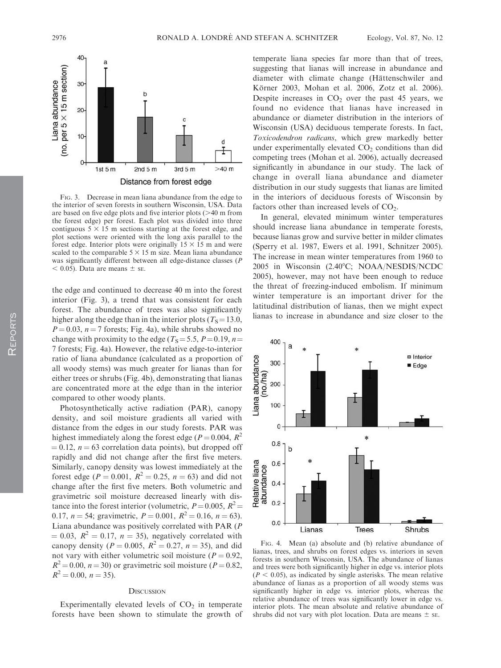

FIG. 3. Decrease in mean liana abundance from the edge to the interior of seven forests in southern Wisconsin, USA. Data are based on five edge plots and five interior plots  $(>= 40 \text{ m from})$ the forest edge) per forest. Each plot was divided into three contiguous  $5 \times 15$  m sections starting at the forest edge, and plot sections were oriented with the long axis parallel to the forest edge. Interior plots were originally  $15 \times 15$  m and were scaled to the comparable  $5 \times 15$  m size. Mean liana abundance was significantly different between all edge-distance classes (P  $<$  0.05). Data are means  $\pm$  se.

the edge and continued to decrease 40 m into the forest interior (Fig. 3), a trend that was consistent for each forest. The abundance of trees was also significantly higher along the edge than in the interior plots ( $T_s$ =13.0,  $P = 0.03$ ,  $n = 7$  forests; Fig. 4a), while shrubs showed no change with proximity to the edge ( $T_s = 5.5$ ,  $P = 0.19$ ,  $n =$ 7 forests; Fig. 4a). However, the relative edge-to-interior ratio of liana abundance (calculated as a proportion of all woody stems) was much greater for lianas than for either trees or shrubs (Fig. 4b), demonstrating that lianas are concentrated more at the edge than in the interior compared to other woody plants.

Photosynthetically active radiation (PAR), canopy density, and soil moisture gradients all varied with distance from the edges in our study forests. PAR was highest immediately along the forest edge ( $P = 0.004$ ,  $R^2$ )  $= 0.12$ ,  $n = 63$  correlation data points), but dropped off rapidly and did not change after the first five meters. Similarly, canopy density was lowest immediately at the forest edge ( $P = 0.001$ ,  $R^2 = 0.25$ ,  $n = 63$ ) and did not change after the first five meters. Both volumetric and gravimetric soil moisture decreased linearly with distance into the forest interior (volumetric,  $P = 0.005$ ,  $R^2 =$ 0.17,  $n = 54$ ; gravimetric,  $P = 0.001$ ,  $R^2 = 0.16$ ,  $n = 63$ ). Liana abundance was positively correlated with PAR (P  $= 0.03$ ,  $R^2 = 0.17$ ,  $n = 35$ ), negatively correlated with canopy density ( $P = 0.005$ ,  $R^2 = 0.27$ ,  $n = 35$ ), and did not vary with either volumetric soil moisture ( $P = 0.92$ ,  $R^2 = 0.00$ ,  $n = 30$ ) or gravimetric soil moisture ( $P = 0.82$ ,  $R^2 = 0.00$ ,  $n = 35$ ).

#### **DISCUSSION**

Experimentally elevated levels of  $CO<sub>2</sub>$  in temperate forests have been shown to stimulate the growth of temperate liana species far more than that of trees, suggesting that lianas will increase in abundance and diameter with climate change (Hättenschwiler and Körner 2003, Mohan et al. 2006, Zotz et al. 2006). Despite increases in  $CO<sub>2</sub>$  over the past 45 years, we found no evidence that lianas have increased in abundance or diameter distribution in the interiors of Wisconsin (USA) deciduous temperate forests. In fact, Toxicodendron radicans, which grew markedly better under experimentally elevated  $CO<sub>2</sub>$  conditions than did competing trees (Mohan et al. 2006), actually decreased significantly in abundance in our study. The lack of change in overall liana abundance and diameter distribution in our study suggests that lianas are limited in the interiors of deciduous forests of Wisconsin by factors other than increased levels of  $CO<sub>2</sub>$ .

In general, elevated minimum winter temperatures should increase liana abundance in temperate forests, because lianas grow and survive better in milder climates (Sperry et al. 1987, Ewers et al. 1991, Schnitzer 2005). The increase in mean winter temperatures from 1960 to 2005 in Wisconsin (2.40°C; NOAA/NESDIS/NCDC 2005), however, may not have been enough to reduce the threat of freezing-induced embolism. If minimum winter temperature is an important driver for the latitudinal distribution of lianas, then we might expect lianas to increase in abundance and size closer to the



FIG. 4. Mean (a) absolute and (b) relative abundance of lianas, trees, and shrubs on forest edges vs. interiors in seven forests in southern Wisconsin, USA. The abundance of lianas and trees were both significantly higher in edge vs. interior plots  $(P < 0.05)$ , as indicated by single asterisks. The mean relative abundance of lianas as a proportion of all woody stems was significantly higher in edge vs. interior plots, whereas the relative abundance of trees was significantly lower in edge vs. interior plots. The mean absolute and relative abundance of shrubs did not vary with plot location. Data are means  $\pm$  se.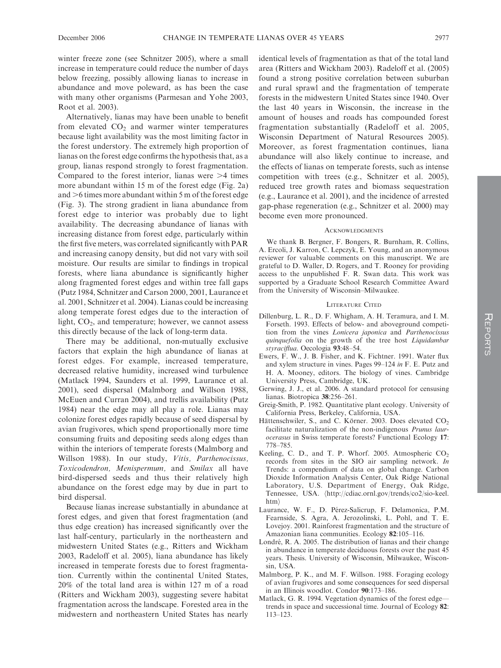winter freeze zone (see Schnitzer 2005), where a small increase in temperature could reduce the number of days below freezing, possibly allowing lianas to increase in abundance and move poleward, as has been the case with many other organisms (Parmesan and Yohe 2003, Root et al. 2003).

Alternatively, lianas may have been unable to benefit from elevated  $CO<sub>2</sub>$  and warmer winter temperatures because light availability was the most limiting factor in the forest understory. The extremely high proportion of lianas on the forest edge confirms the hypothesis that, as a group, lianas respond strongly to forest fragmentation. Compared to the forest interior, lianas were  $\geq 4$  times more abundant within 15 m of the forest edge (Fig. 2a) and  $>6$  times more abundant within 5 m of the forest edge (Fig. 3). The strong gradient in liana abundance from forest edge to interior was probably due to light availability. The decreasing abundance of lianas with increasing distance from forest edge, particularly within the first five meters, was correlated significantly with PAR and increasing canopy density, but did not vary with soil moisture. Our results are similar to findings in tropical forests, where liana abundance is significantly higher along fragmented forest edges and within tree fall gaps (Putz 1984, Schnitzer and Carson 2000, 2001, Laurance et al. 2001, Schnitzer et al. 2004). Lianas could be increasing along temperate forest edges due to the interaction of light,  $CO<sub>2</sub>$ , and temperature; however, we cannot assess this directly because of the lack of long-term data.

There may be additional, non-mutually exclusive factors that explain the high abundance of lianas at forest edges. For example, increased temperature, decreased relative humidity, increased wind turbulence (Matlack 1994, Saunders et al. 1999, Laurance et al. 2001), seed dispersal (Malmborg and Willson 1988, McEuen and Curran 2004), and trellis availability (Putz 1984) near the edge may all play a role. Lianas may colonize forest edges rapidly because of seed dispersal by avian frugivores, which spend proportionally more time consuming fruits and depositing seeds along edges than within the interiors of temperate forests (Malmborg and Willson 1988). In our study, Vitis, Parthenocissus, Toxicodendron, Menispermum, and Smilax all have bird-dispersed seeds and thus their relatively high abundance on the forest edge may by due in part to bird dispersal.

Because lianas increase substantially in abundance at forest edges, and given that forest fragmentation (and thus edge creation) has increased significantly over the last half-century, particularly in the northeastern and midwestern United States (e.g., Ritters and Wickham 2003, Radeloff et al. 2005), liana abundance has likely increased in temperate forests due to forest fragmentation. Currently within the continental United States, 20% of the total land area is within 127 m of a road (Ritters and Wickham 2003), suggesting severe habitat fragmentation across the landscape. Forested area in the midwestern and northeastern United States has nearly

identical levels of fragmentation as that of the total land area (Ritters and Wickham 2003). Radeloff et al. (2005) found a strong positive correlation between suburban and rural sprawl and the fragmentation of temperate forests in the midwestern United States since 1940. Over the last 40 years in Wisconsin, the increase in the amount of houses and roads has compounded forest fragmentation substantially (Radeloff et al. 2005, Wisconsin Department of Natural Resources 2005). Moreover, as forest fragmentation continues, liana abundance will also likely continue to increase, and the effects of lianas on temperate forests, such as intense competition with trees (e.g., Schnitzer et al. 2005), reduced tree growth rates and biomass sequestration (e.g., Laurance et al. 2001), and the incidence of arrested gap-phase regeneration (e.g., Schnitzer et al. 2000) may become even more pronounced.

#### **ACKNOWLEDGMENTS**

We thank B. Bergner, F. Bongers, R. Burnham, R. Collins, A. Ercoli, J. Karron, C. Lepczyk, E. Young, and an anonymous reviewer for valuable comments on this manuscript. We are grateful to D. Waller, D. Rogers, and T. Rooney for providing access to the unpublished F. R. Swan data. This work was supported by a Graduate School Research Committee Award from the University of Wisconsin–Milwaukee.

#### LITERATURE CITED

- Dillenburg, L. R., D. F. Whigham, A. H. Teramura, and I. M. Forseth. 1993. Effects of below- and aboveground competition from the vines Lonicera japonica and Parthenocissus quinquefolia on the growth of the tree host Liquidambar styraciflua. Oecologia 93:48–54.
- Ewers, F. W., J. B. Fisher, and K. Fichtner. 1991. Water flux and xylem structure in vines. Pages 99–124 in F. E. Putz and H. A. Mooney, editors. The biology of vines. Cambridge University Press, Cambridge, UK.
- Gerwing, J. J., et al. 2006. A standard protocol for censusing lianas. Biotropica 38:256–261.
- Greig-Smith, P. 1982. Quantitative plant ecology. University of California Press, Berkeley, California, USA.
- Hättenschwiler, S., and C. Körner. 2003. Does elevated CO<sub>2</sub> facilitate naturalization of the non-indigenous Prunus laurocerasus in Swiss temperate forests? Functional Ecology 17: 778–785.
- Keeling, C. D., and T. P. Whorf. 2005. Atmospheric  $CO<sub>2</sub>$ records from sites in the SIO air sampling network. In Trends: a compendium of data on global change. Carbon Dioxide Information Analysis Center, Oak Ridge National Laboratory, U.S. Department of Energy, Oak Ridge, Tennessee, USA. (http://cdiac.ornl.gov/trends/co2/sio-keel. htm
- Laurance, W. F., D. Pérez-Salicrup, F. Delamonica, P.M. Fearnside, S. Agra, A. Jerozolinski, L. Pohl, and T. E. Lovejoy. 2001. Rainforest fragmentation and the structure of Amazonian liana communities. Ecology 82:105–116.
- Londré, R. A. 2005. The distribution of lianas and their change in abundance in temperate deciduous forests over the past 45 years. Thesis. University of Wisconsin, Milwaukee, Wisconsin, USA.
- Malmborg, P. K., and M. F. Willson. 1988. Foraging ecology of avian frugivores and some consequences for seed dispersal in an Illinois woodlot. Condor 90:173–186.
- Matlack, G. R. 1994. Vegetation dynamics of the forest edge trends in space and successional time. Journal of Ecology 82: 113–123.